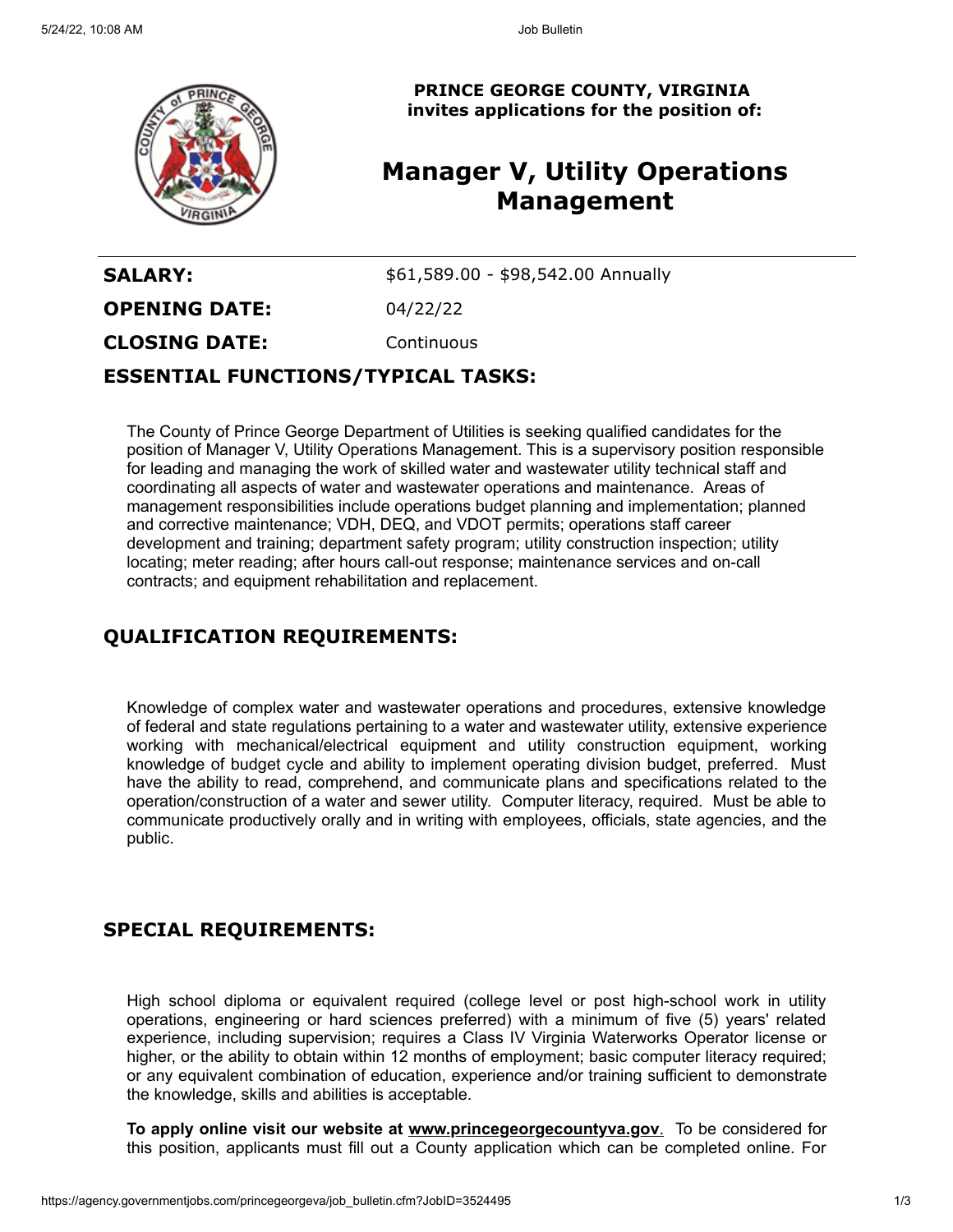

**PRINCE GEORGE COUNTY, VIRGINIA invites applications for the position of:**

# **Manager V, Utility Operations Management**

**SALARY:**  $$61,589.00 - $98,542.00$  Annually **OPENING DATE:** 04/22/22 **CLOSING DATE:** Continuous

### **ESSENTIAL FUNCTIONS/TYPICAL TASKS:**

The County of Prince George Department of Utilities is seeking qualified candidates for the position of Manager V, Utility Operations Management. This is a supervisory position responsible for leading and managing the work of skilled water and wastewater utility technical staff and coordinating all aspects of water and wastewater operations and maintenance. Areas of management responsibilities include operations budget planning and implementation; planned and corrective maintenance; VDH, DEQ, and VDOT permits; operations staff career development and training; department safety program; utility construction inspection; utility locating; meter reading; after hours call-out response; maintenance services and on-call contracts; and equipment rehabilitation and replacement.

# **QUALIFICATION REQUIREMENTS:**

Knowledge of complex water and wastewater operations and procedures, extensive knowledge of federal and state regulations pertaining to a water and wastewater utility, extensive experience working with mechanical/electrical equipment and utility construction equipment, working knowledge of budget cycle and ability to implement operating division budget, preferred. Must have the ability to read, comprehend, and communicate plans and specifications related to the operation/construction of a water and sewer utility. Computer literacy, required. Must be able to communicate productively orally and in writing with employees, officials, state agencies, and the public.

# **SPECIAL REQUIREMENTS:**

High school diploma or equivalent required (college level or post high-school work in utility operations, engineering or hard sciences preferred) with a minimum of five (5) years' related experience, including supervision; requires a Class IV Virginia Waterworks Operator license or higher, or the ability to obtain within 12 months of employment; basic computer literacy required; or any equivalent combination of education, experience and/or training sufficient to demonstrate the knowledge, skills and abilities is acceptable.

**To apply online visit our website at [www.princegeorgecountyva.gov](http://www.princegeorgecountyva.gov/)**[.](http://www.princegeorgecountyva.gov/) To be considered for this position, applicants must fill out a County application which can be completed online. For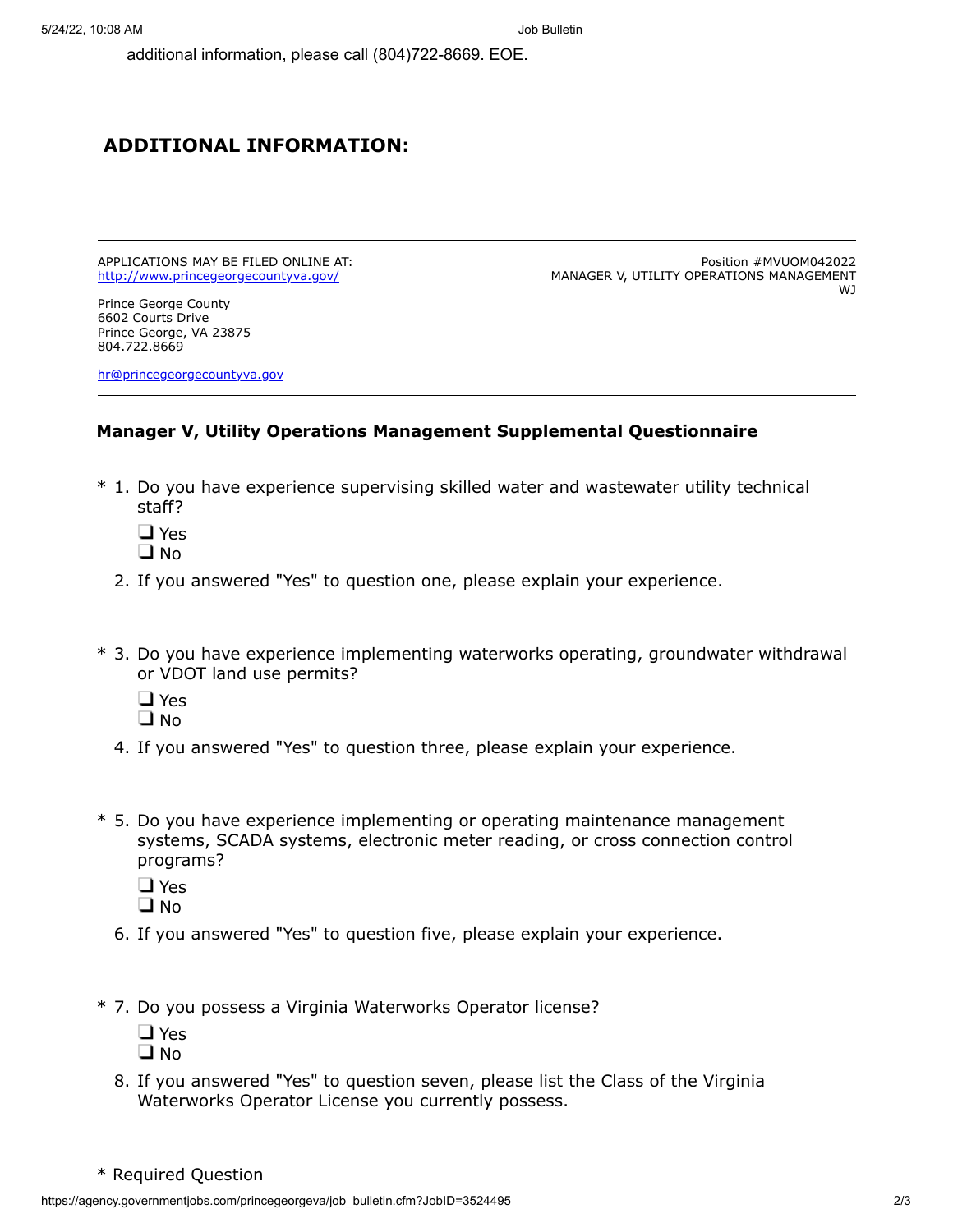additional information, please call (804)722-8669. EOE.

#### **ADDITIONAL INFORMATION:**

APPLICATIONS MAY BE FILED ONLINE AT: <http://www.princegeorgecountyva.gov/>

Prince George County 6602 Courts Drive Prince George, VA 23875 804.722.8669

[hr@princegeorgecountyva.gov](mailto:hr@princegeorgecountyva.gov)

Position #MVUOM042022 MANAGER V, UTILITY OPERATIONS MANAGEMENT WJ

#### **Manager V, Utility Operations Management Supplemental Questionnaire**

- \* 1. Do you have experience supervising skilled water and wastewater utility technical staff?
	- □ Yes
	- $\square$  No
	- 2. If you answered "Yes" to question one, please explain your experience.
- \* 3. Do you have experience implementing waterworks operating, groundwater withdrawal or VDOT land use permits?
	- □ Yes
	- $\Box$  No
	- 4. If you answered "Yes" to question three, please explain your experience.
- \* 5. Do you have experience implementing or operating maintenance management systems, SCADA systems, electronic meter reading, or cross connection control programs?
	- □ Yes
	- $\square$  No
	- 6. If you answered "Yes" to question five, please explain your experience.
- \* 7. Do you possess a Virginia Waterworks Operator license?
	- □ Yes
	- $\square$  No
	- 8. If you answered "Yes" to question seven, please list the Class of the Virginia Waterworks Operator License you currently possess.